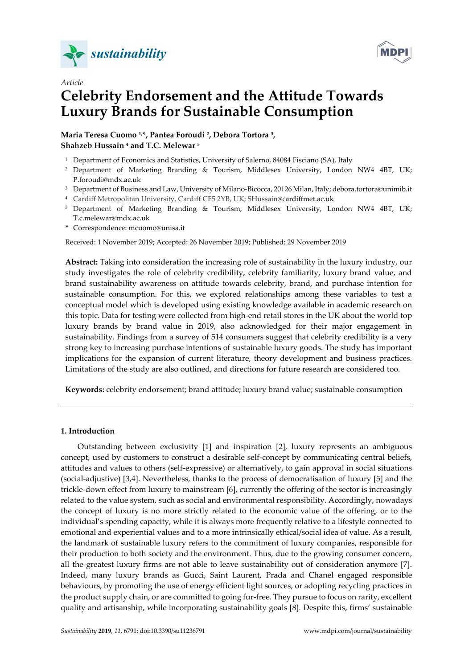

*Article* 



# **Celebrity Endorsement and the Attitude Towards Luxury Brands for Sustainable Consumption**

# **Maria Teresa Cuomo 1,\*, Pantea Foroudi 2, Debora Tortora 3, Shahzeb Hussain 4 and T.C. Melewar 5**

- <sup>1</sup> Department of Economics and Statistics, University of Salerno, 84084 Fisciano (SA), Italy
- 2 Department of Marketing Branding & Tourism, Middlesex University, London NW4 4BT, UK; P.foroudi@mdx.ac.uk
- <sup>3</sup> Department of Business and Law, University of Milano-Bicocca, 20126 Milan, Italy; debora.tortora@unimib.it
- <sup>4</sup> Cardiff Metropolitan University, Cardiff CF5 2YB, UK; SHussain@cardiffmet.ac.uk
- 5 Department of Marketing Branding & Tourism, Middlesex University, London NW4 4BT, UK; T.c.melewar@mdx.ac.uk
- **\*** Correspondence: mcuomo@unisa.it

Received: 1 November 2019; Accepted: 26 November 2019; Published: 29 November 2019

**Abstract:** Taking into consideration the increasing role of sustainability in the luxury industry, our study investigates the role of celebrity credibility, celebrity familiarity, luxury brand value, and brand sustainability awareness on attitude towards celebrity, brand, and purchase intention for sustainable consumption. For this, we explored relationships among these variables to test a conceptual model which is developed using existing knowledge available in academic research on this topic. Data for testing were collected from high-end retail stores in the UK about the world top luxury brands by brand value in 2019, also acknowledged for their major engagement in sustainability. Findings from a survey of 514 consumers suggest that celebrity credibility is a very strong key to increasing purchase intentions of sustainable luxury goods. The study has important implications for the expansion of current literature, theory development and business practices. Limitations of the study are also outlined, and directions for future research are considered too.

**Keywords:** celebrity endorsement; brand attitude; luxury brand value; sustainable consumption

# **1. Introduction**

Outstanding between exclusivity [1] and inspiration [2], luxury represents an ambiguous concept, used by customers to construct a desirable self-concept by communicating central beliefs, attitudes and values to others (self-expressive) or alternatively, to gain approval in social situations (social-adjustive) [3,4]. Nevertheless, thanks to the process of democratisation of luxury [5] and the trickle-down effect from luxury to mainstream [6], currently the offering of the sector is increasingly related to the value system, such as social and environmental responsibility. Accordingly, nowadays the concept of luxury is no more strictly related to the economic value of the offering, or to the individual's spending capacity, while it is always more frequently relative to a lifestyle connected to emotional and experiential values and to a more intrinsically ethical/social idea of value. As a result, the landmark of sustainable luxury refers to the commitment of luxury companies, responsible for their production to both society and the environment. Thus, due to the growing consumer concern, all the greatest luxury firms are not able to leave sustainability out of consideration anymore [7]. Indeed, many luxury brands as Gucci, Saint Laurent, Prada and Chanel engaged responsible behaviours, by promoting the use of energy efficient light sources, or adopting recycling practices in the product supply chain, or are committed to going fur-free. They pursue to focus on rarity, excellent quality and artisanship, while incorporating sustainability goals [8]. Despite this, firms' sustainable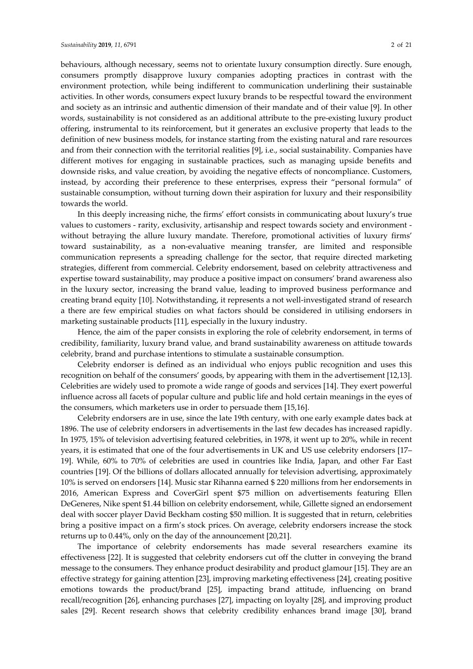behaviours, although necessary, seems not to orientate luxury consumption directly. Sure enough, consumers promptly disapprove luxury companies adopting practices in contrast with the environment protection, while being indifferent to communication underlining their sustainable activities. In other words, consumers expect luxury brands to be respectful toward the environment and society as an intrinsic and authentic dimension of their mandate and of their value [9]. In other words, sustainability is not considered as an additional attribute to the pre-existing luxury product offering, instrumental to its reinforcement, but it generates an exclusive property that leads to the definition of new business models, for instance starting from the existing natural and rare resources and from their connection with the territorial realities [9], i.e., social sustainability. Companies have different motives for engaging in sustainable practices, such as managing upside benefits and downside risks, and value creation, by avoiding the negative effects of noncompliance. Customers, instead, by according their preference to these enterprises, express their "personal formula" of sustainable consumption, without turning down their aspiration for luxury and their responsibility towards the world.

In this deeply increasing niche, the firms' effort consists in communicating about luxury's true values to customers - rarity, exclusivity, artisanship and respect towards society and environment without betraying the allure luxury mandate. Therefore, promotional activities of luxury firms' toward sustainability, as a non-evaluative meaning transfer, are limited and responsible communication represents a spreading challenge for the sector, that require directed marketing strategies, different from commercial. Celebrity endorsement, based on celebrity attractiveness and expertise toward sustainability, may produce a positive impact on consumers' brand awareness also in the luxury sector, increasing the brand value, leading to improved business performance and creating brand equity [10]. Notwithstanding, it represents a not well-investigated strand of research a there are few empirical studies on what factors should be considered in utilising endorsers in marketing sustainable products [11], especially in the luxury industry.

Hence, the aim of the paper consists in exploring the role of celebrity endorsement, in terms of credibility, familiarity, luxury brand value, and brand sustainability awareness on attitude towards celebrity, brand and purchase intentions to stimulate a sustainable consumption.

Celebrity endorser is defined as an individual who enjoys public recognition and uses this recognition on behalf of the consumers' goods, by appearing with them in the advertisement [12,13]. Celebrities are widely used to promote a wide range of goods and services [14]. They exert powerful influence across all facets of popular culture and public life and hold certain meanings in the eyes of the consumers, which marketers use in order to persuade them [15,16].

Celebrity endorsers are in use, since the late 19th century, with one early example dates back at 1896. The use of celebrity endorsers in advertisements in the last few decades has increased rapidly. In 1975, 15% of television advertising featured celebrities, in 1978, it went up to 20%, while in recent years, it is estimated that one of the four advertisements in UK and US use celebrity endorsers [17– 19]. While, 60% to 70% of celebrities are used in countries like India, Japan, and other Far East countries [19]. Of the billions of dollars allocated annually for television advertising, approximately 10% is served on endorsers [14]. Music star Rihanna earned \$ 220 millions from her endorsements in 2016, American Express and CoverGirl spent \$75 million on advertisements featuring Ellen DeGeneres, Nike spent \$1.44 billion on celebrity endorsement, while, Gillette signed an endorsement deal with soccer player David Beckham costing \$50 million. It is suggested that in return, celebrities bring a positive impact on a firm's stock prices. On average, celebrity endorsers increase the stock returns up to 0.44%, only on the day of the announcement [20,21].

The importance of celebrity endorsements has made several researchers examine its effectiveness [22]. It is suggested that celebrity endorsers cut off the clutter in conveying the brand message to the consumers. They enhance product desirability and product glamour [15]. They are an effective strategy for gaining attention [23], improving marketing effectiveness [24], creating positive emotions towards the product/brand [25], impacting brand attitude, influencing on brand recall/recognition [26], enhancing purchases [27], impacting on loyalty [28], and improving product sales [29]. Recent research shows that celebrity credibility enhances brand image [30], brand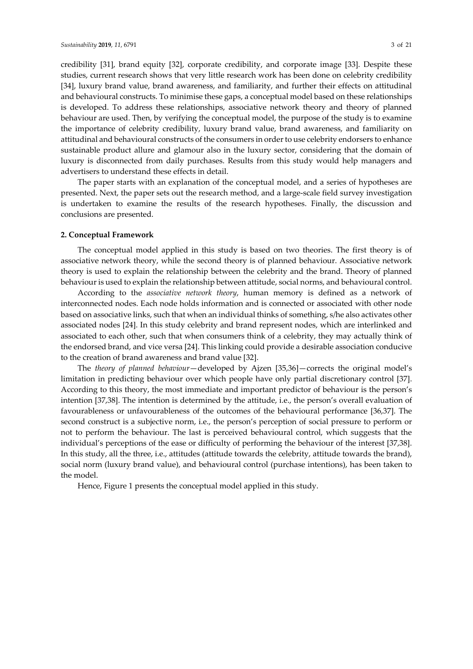credibility [31], brand equity [32], corporate credibility, and corporate image [33]. Despite these studies, current research shows that very little research work has been done on celebrity credibility [34], luxury brand value, brand awareness, and familiarity, and further their effects on attitudinal and behavioural constructs. To minimise these gaps, a conceptual model based on these relationships is developed. To address these relationships, associative network theory and theory of planned behaviour are used. Then, by verifying the conceptual model, the purpose of the study is to examine the importance of celebrity credibility, luxury brand value, brand awareness, and familiarity on attitudinal and behavioural constructs of the consumers in order to use celebrity endorsers to enhance sustainable product allure and glamour also in the luxury sector, considering that the domain of luxury is disconnected from daily purchases. Results from this study would help managers and advertisers to understand these effects in detail.

The paper starts with an explanation of the conceptual model, and a series of hypotheses are presented. Next, the paper sets out the research method, and a large-scale field survey investigation is undertaken to examine the results of the research hypotheses. Finally, the discussion and conclusions are presented.

#### **2. Conceptual Framework**

The conceptual model applied in this study is based on two theories. The first theory is of associative network theory, while the second theory is of planned behaviour. Associative network theory is used to explain the relationship between the celebrity and the brand. Theory of planned behaviour is used to explain the relationship between attitude, social norms, and behavioural control.

According to the *associative network theory*, human memory is defined as a network of interconnected nodes. Each node holds information and is connected or associated with other node based on associative links, such that when an individual thinks of something, s/he also activates other associated nodes [24]. In this study celebrity and brand represent nodes, which are interlinked and associated to each other, such that when consumers think of a celebrity, they may actually think of the endorsed brand, and vice versa [24]. This linking could provide a desirable association conducive to the creation of brand awareness and brand value [32].

The *theory of planned behaviour*—developed by Ajzen [35,36]—corrects the original model's limitation in predicting behaviour over which people have only partial discretionary control [37]. According to this theory, the most immediate and important predictor of behaviour is the person's intention [37,38]. The intention is determined by the attitude, i.e., the person's overall evaluation of favourableness or unfavourableness of the outcomes of the behavioural performance [36,37]. The second construct is a subjective norm, i.e., the person's perception of social pressure to perform or not to perform the behaviour. The last is perceived behavioural control, which suggests that the individual's perceptions of the ease or difficulty of performing the behaviour of the interest [37,38]. In this study, all the three, i.e., attitudes (attitude towards the celebrity, attitude towards the brand), social norm (luxury brand value), and behavioural control (purchase intentions), has been taken to the model.

Hence, Figure 1 presents the conceptual model applied in this study.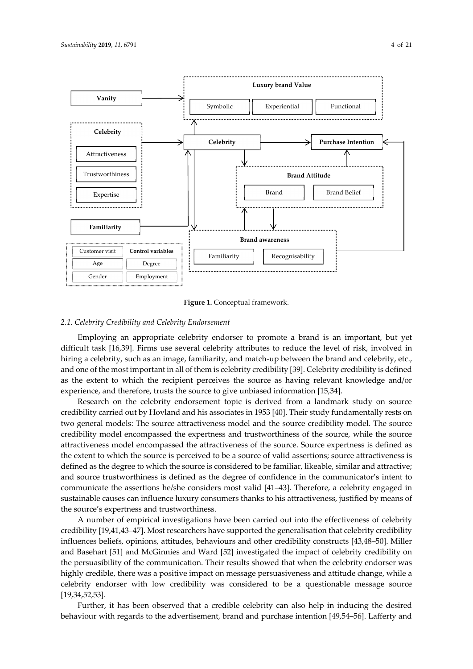

**Figure 1.** Conceptual framework.

# *2.1. Celebrity Credibility and Celebrity Endorsement*

Employing an appropriate celebrity endorser to promote a brand is an important, but yet difficult task [16,39]. Firms use several celebrity attributes to reduce the level of risk, involved in hiring a celebrity, such as an image, familiarity, and match-up between the brand and celebrity, etc., and one of the most important in all of them is celebrity credibility [39]. Celebrity credibility is defined as the extent to which the recipient perceives the source as having relevant knowledge and/or experience, and therefore, trusts the source to give unbiased information [15,34].

Research on the celebrity endorsement topic is derived from a landmark study on source credibility carried out by Hovland and his associates in 1953 [40]. Their study fundamentally rests on two general models: The source attractiveness model and the source credibility model. The source credibility model encompassed the expertness and trustworthiness of the source, while the source attractiveness model encompassed the attractiveness of the source. Source expertness is defined as the extent to which the source is perceived to be a source of valid assertions; source attractiveness is defined as the degree to which the source is considered to be familiar, likeable, similar and attractive; and source trustworthiness is defined as the degree of confidence in the communicator's intent to communicate the assertions he/she considers most valid [41–43]. Therefore, a celebrity engaged in sustainable causes can influence luxury consumers thanks to his attractiveness, justified by means of the source's expertness and trustworthiness.

A number of empirical investigations have been carried out into the effectiveness of celebrity credibility [19,41,43–47]. Most researchers have supported the generalisation that celebrity credibility influences beliefs, opinions, attitudes, behaviours and other credibility constructs [43,48–50]. Miller and Basehart [51] and McGinnies and Ward [52] investigated the impact of celebrity credibility on the persuasibility of the communication. Their results showed that when the celebrity endorser was highly credible, there was a positive impact on message persuasiveness and attitude change, while a celebrity endorser with low credibility was considered to be a questionable message source [19,34,52,53].

Further, it has been observed that a credible celebrity can also help in inducing the desired behaviour with regards to the advertisement, brand and purchase intention [49,54–56]. Lafferty and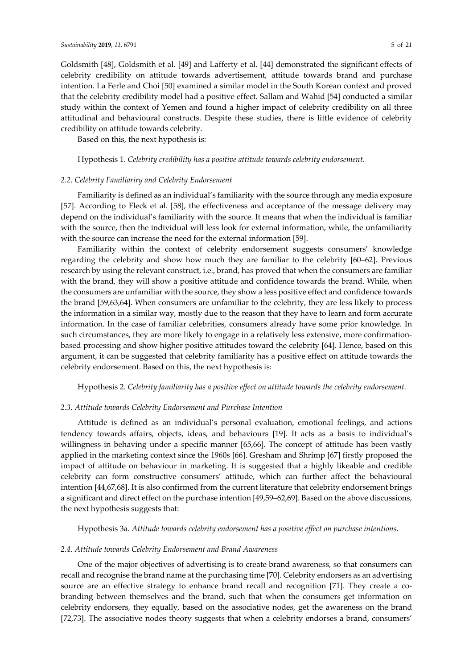Goldsmith [48], Goldsmith et al. [49] and Lafferty et al. [44] demonstrated the significant effects of celebrity credibility on attitude towards advertisement, attitude towards brand and purchase intention. La Ferle and Choi [50] examined a similar model in the South Korean context and proved that the celebrity credibility model had a positive effect. Sallam and Wahid [54] conducted a similar study within the context of Yemen and found a higher impact of celebrity credibility on all three attitudinal and behavioural constructs. Despite these studies, there is little evidence of celebrity credibility on attitude towards celebrity.

Based on this, the next hypothesis is:

## Hypothesis 1. *Celebrity credibility has a positive attitude towards celebrity endorsement*.

#### *2.2. Celebrity Familiariry and Celebrity Endorsement*

Familiarity is defined as an individual's familiarity with the source through any media exposure [57]. According to Fleck et al. [58], the effectiveness and acceptance of the message delivery may depend on the individual's familiarity with the source. It means that when the individual is familiar with the source, then the individual will less look for external information, while, the unfamiliarity with the source can increase the need for the external information [59].

Familiarity within the context of celebrity endorsement suggests consumers' knowledge regarding the celebrity and show how much they are familiar to the celebrity [60–62]. Previous research by using the relevant construct, i.e., brand, has proved that when the consumers are familiar with the brand, they will show a positive attitude and confidence towards the brand. While, when the consumers are unfamiliar with the source, they show a less positive effect and confidence towards the brand [59,63,64]. When consumers are unfamiliar to the celebrity, they are less likely to process the information in a similar way, mostly due to the reason that they have to learn and form accurate information. In the case of familiar celebrities, consumers already have some prior knowledge. In such circumstances, they are more likely to engage in a relatively less extensive, more confirmationbased processing and show higher positive attitudes toward the celebrity [64]. Hence, based on this argument, it can be suggested that celebrity familiarity has a positive effect on attitude towards the celebrity endorsement. Based on this, the next hypothesis is:

Hypothesis 2. *Celebrity familiarity has a positive effect on attitude towards the celebrity endorsement.* 

#### *2.3. Attitude towards Celebrity Endorsement and Purchase Intention*

Attitude is defined as an individual's personal evaluation, emotional feelings, and actions tendency towards affairs, objects, ideas, and behaviours [19]. It acts as a basis to individual's willingness in behaving under a specific manner [65,66]. The concept of attitude has been vastly applied in the marketing context since the 1960s [66]. Gresham and Shrimp [67] firstly proposed the impact of attitude on behaviour in marketing. It is suggested that a highly likeable and credible celebrity can form constructive consumers' attitude, which can further affect the behavioural intention [44,67,68]. It is also confirmed from the current literature that celebrity endorsement brings a significant and direct effect on the purchase intention [49,59–62,69]. Based on the above discussions, the next hypothesis suggests that:

Hypothesis 3a. *Attitude towards celebrity endorsement has a positive effect on purchase intentions.* 

#### *2.4. Attitude towards Celebrity Endorsement and Brand Awareness*

One of the major objectives of advertising is to create brand awareness, so that consumers can recall and recognise the brand name at the purchasing time [70]. Celebrity endorsers as an advertising source are an effective strategy to enhance brand recall and recognition [71]. They create a cobranding between themselves and the brand, such that when the consumers get information on celebrity endorsers, they equally, based on the associative nodes, get the awareness on the brand [72,73]. The associative nodes theory suggests that when a celebrity endorses a brand, consumers'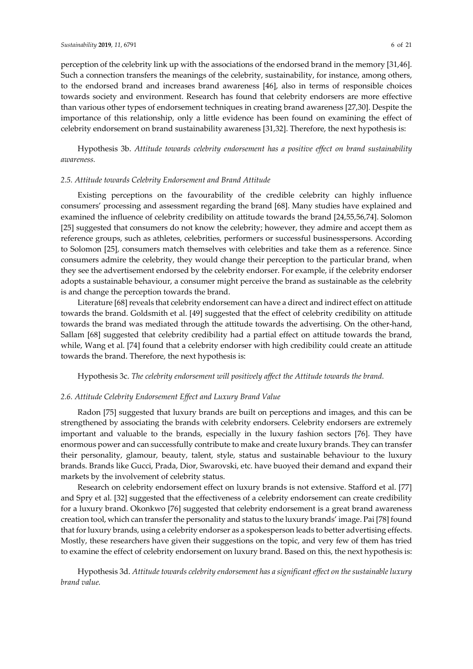perception of the celebrity link up with the associations of the endorsed brand in the memory [31,46]. Such a connection transfers the meanings of the celebrity, sustainability, for instance, among others, to the endorsed brand and increases brand awareness [46], also in terms of responsible choices towards society and environment. Research has found that celebrity endorsers are more effective than various other types of endorsement techniques in creating brand awareness [27,30]. Despite the importance of this relationship, only a little evidence has been found on examining the effect of celebrity endorsement on brand sustainability awareness [31,32]. Therefore, the next hypothesis is:

Hypothesis 3b. *Attitude towards celebrity endorsement has a positive effect on brand sustainability awareness.* 

## *2.5. Attitude towards Celebrity Endorsement and Brand Attitude*

Existing perceptions on the favourability of the credible celebrity can highly influence consumers' processing and assessment regarding the brand [68]. Many studies have explained and examined the influence of celebrity credibility on attitude towards the brand [24,55,56,74]. Solomon [25] suggested that consumers do not know the celebrity; however, they admire and accept them as reference groups, such as athletes, celebrities, performers or successful businesspersons. According to Solomon [25], consumers match themselves with celebrities and take them as a reference. Since consumers admire the celebrity, they would change their perception to the particular brand, when they see the advertisement endorsed by the celebrity endorser. For example, if the celebrity endorser adopts a sustainable behaviour, a consumer might perceive the brand as sustainable as the celebrity is and change the perception towards the brand.

Literature [68] reveals that celebrity endorsement can have a direct and indirect effect on attitude towards the brand. Goldsmith et al. [49] suggested that the effect of celebrity credibility on attitude towards the brand was mediated through the attitude towards the advertising. On the other-hand, Sallam [68] suggested that celebrity credibility had a partial effect on attitude towards the brand, while, Wang et al. [74] found that a celebrity endorser with high credibility could create an attitude towards the brand. Therefore, the next hypothesis is:

Hypothesis 3c. *The celebrity endorsement will positively affect the Attitude towards the brand.* 

# *2.6. Attitude Celebrity Endorsement Effect and Luxury Brand Value*

Radon [75] suggested that luxury brands are built on perceptions and images, and this can be strengthened by associating the brands with celebrity endorsers. Celebrity endorsers are extremely important and valuable to the brands, especially in the luxury fashion sectors [76]. They have enormous power and can successfully contribute to make and create luxury brands. They can transfer their personality, glamour, beauty, talent, style, status and sustainable behaviour to the luxury brands. Brands like Gucci, Prada, Dior, Swarovski, etc. have buoyed their demand and expand their markets by the involvement of celebrity status.

Research on celebrity endorsement effect on luxury brands is not extensive. Stafford et al. [77] and Spry et al. [32] suggested that the effectiveness of a celebrity endorsement can create credibility for a luxury brand. Okonkwo [76] suggested that celebrity endorsement is a great brand awareness creation tool, which can transfer the personality and status to the luxury brands' image. Pai [78] found that for luxury brands, using a celebrity endorser as a spokesperson leads to better advertising effects. Mostly, these researchers have given their suggestions on the topic, and very few of them has tried to examine the effect of celebrity endorsement on luxury brand. Based on this, the next hypothesis is:

Hypothesis 3d. *Attitude towards celebrity endorsement has a significant effect on the sustainable luxury brand value.*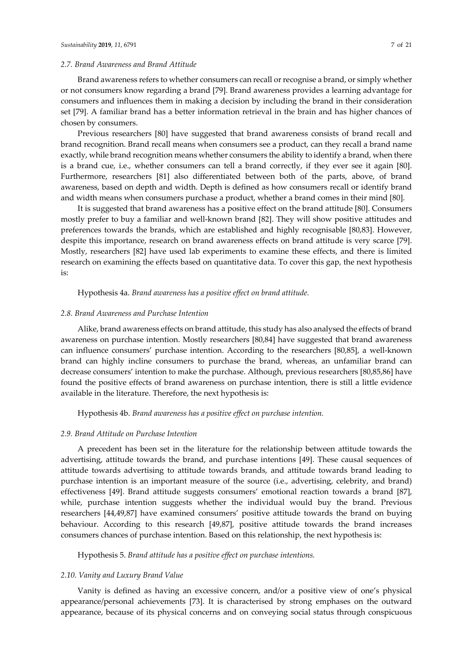## *2.7. Brand Awareness and Brand Attitude*

Brand awareness refers to whether consumers can recall or recognise a brand, or simply whether or not consumers know regarding a brand [79]. Brand awareness provides a learning advantage for consumers and influences them in making a decision by including the brand in their consideration set [79]. A familiar brand has a better information retrieval in the brain and has higher chances of chosen by consumers.

Previous researchers [80] have suggested that brand awareness consists of brand recall and brand recognition. Brand recall means when consumers see a product, can they recall a brand name exactly, while brand recognition means whether consumers the ability to identify a brand, when there is a brand cue, i.e., whether consumers can tell a brand correctly, if they ever see it again [80]. Furthermore, researchers [81] also differentiated between both of the parts, above, of brand awareness, based on depth and width. Depth is defined as how consumers recall or identify brand and width means when consumers purchase a product, whether a brand comes in their mind [80].

It is suggested that brand awareness has a positive effect on the brand attitude [80]. Consumers mostly prefer to buy a familiar and well-known brand [82]. They will show positive attitudes and preferences towards the brands, which are established and highly recognisable [80,83]. However, despite this importance, research on brand awareness effects on brand attitude is very scarce [79]. Mostly, researchers [82] have used lab experiments to examine these effects, and there is limited research on examining the effects based on quantitative data. To cover this gap, the next hypothesis is:

Hypothesis 4a. *Brand awareness has a positive effect on brand attitude.* 

## *2.8. Brand Awareness and Purchase Intention*

Alike, brand awareness effects on brand attitude, this study has also analysed the effects of brand awareness on purchase intention. Mostly researchers [80,84] have suggested that brand awareness can influence consumers' purchase intention. According to the researchers [80,85], a well-known brand can highly incline consumers to purchase the brand, whereas, an unfamiliar brand can decrease consumers' intention to make the purchase. Although, previous researchers [80,85,86] have found the positive effects of brand awareness on purchase intention, there is still a little evidence available in the literature. Therefore, the next hypothesis is:

Hypothesis 4b. *Brand awareness has a positive effect on purchase intention.* 

# *2.9. Brand Attitude on Purchase Intention*

A precedent has been set in the literature for the relationship between attitude towards the advertising, attitude towards the brand, and purchase intentions [49]. These causal sequences of attitude towards advertising to attitude towards brands, and attitude towards brand leading to purchase intention is an important measure of the source (i.e., advertising, celebrity, and brand) effectiveness [49]. Brand attitude suggests consumers' emotional reaction towards a brand [87], while, purchase intention suggests whether the individual would buy the brand. Previous researchers [44,49,87] have examined consumers' positive attitude towards the brand on buying behaviour. According to this research [49,87], positive attitude towards the brand increases consumers chances of purchase intention. Based on this relationship, the next hypothesis is:

Hypothesis 5. *Brand attitude has a positive effect on purchase intentions.* 

#### *2.10. Vanity and Luxury Brand Value*

Vanity is defined as having an excessive concern, and/or a positive view of one's physical appearance/personal achievements [73]. It is characterised by strong emphases on the outward appearance, because of its physical concerns and on conveying social status through conspicuous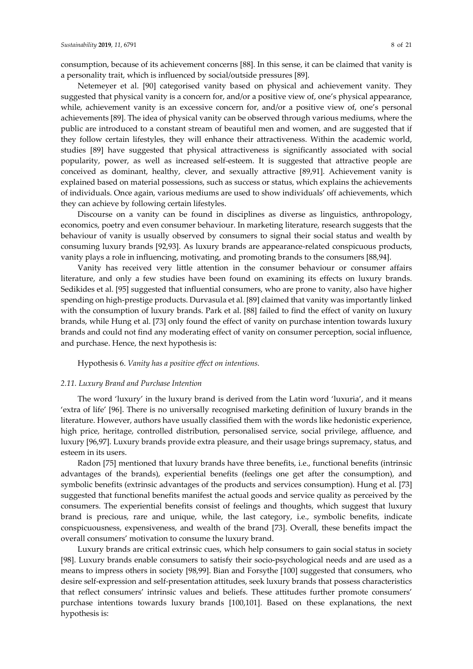consumption, because of its achievement concerns [88]. In this sense, it can be claimed that vanity is a personality trait, which is influenced by social/outside pressures [89].

Netemeyer et al. [90] categorised vanity based on physical and achievement vanity. They suggested that physical vanity is a concern for, and/or a positive view of, one's physical appearance, while, achievement vanity is an excessive concern for, and/or a positive view of, one's personal achievements [89]. The idea of physical vanity can be observed through various mediums, where the public are introduced to a constant stream of beautiful men and women, and are suggested that if they follow certain lifestyles, they will enhance their attractiveness. Within the academic world, studies [89] have suggested that physical attractiveness is significantly associated with social popularity, power, as well as increased self-esteem. It is suggested that attractive people are conceived as dominant, healthy, clever, and sexually attractive [89,91]. Achievement vanity is explained based on material possessions, such as success or status, which explains the achievements of individuals. Once again, various mediums are used to show individuals' off achievements, which they can achieve by following certain lifestyles.

Discourse on a vanity can be found in disciplines as diverse as linguistics, anthropology, economics, poetry and even consumer behaviour. In marketing literature, research suggests that the behaviour of vanity is usually observed by consumers to signal their social status and wealth by consuming luxury brands [92,93]. As luxury brands are appearance-related conspicuous products, vanity plays a role in influencing, motivating, and promoting brands to the consumers [88,94].

Vanity has received very little attention in the consumer behaviour or consumer affairs literature, and only a few studies have been found on examining its effects on luxury brands. Sedikides et al. [95] suggested that influential consumers, who are prone to vanity, also have higher spending on high-prestige products. Durvasula et al. [89] claimed that vanity was importantly linked with the consumption of luxury brands. Park et al. [88] failed to find the effect of vanity on luxury brands, while Hung et al. [73] only found the effect of vanity on purchase intention towards luxury brands and could not find any moderating effect of vanity on consumer perception, social influence, and purchase. Hence, the next hypothesis is:

Hypothesis 6. *Vanity has a positive effect on intentions.* 

#### *2.11. Luxury Brand and Purchase Intention*

The word 'luxury' in the luxury brand is derived from the Latin word 'luxuria', and it means 'extra of life' [96]. There is no universally recognised marketing definition of luxury brands in the literature. However, authors have usually classified them with the words like hedonistic experience, high price, heritage, controlled distribution, personalised service, social privilege, affluence, and luxury [96,97]. Luxury brands provide extra pleasure, and their usage brings supremacy, status, and esteem in its users.

Radon [75] mentioned that luxury brands have three benefits, i.e., functional benefits (intrinsic advantages of the brands), experiential benefits (feelings one get after the consumption), and symbolic benefits (extrinsic advantages of the products and services consumption). Hung et al. [73] suggested that functional benefits manifest the actual goods and service quality as perceived by the consumers. The experiential benefits consist of feelings and thoughts, which suggest that luxury brand is precious, rare and unique, while, the last category, i.e., symbolic benefits, indicate conspicuousness, expensiveness, and wealth of the brand [73]. Overall, these benefits impact the overall consumers' motivation to consume the luxury brand.

Luxury brands are critical extrinsic cues, which help consumers to gain social status in society [98]. Luxury brands enable consumers to satisfy their socio-psychological needs and are used as a means to impress others in society [98,99]. Bian and Forsythe [100] suggested that consumers, who desire self-expression and self-presentation attitudes, seek luxury brands that possess characteristics that reflect consumers' intrinsic values and beliefs. These attitudes further promote consumers' purchase intentions towards luxury brands [100,101]. Based on these explanations, the next hypothesis is: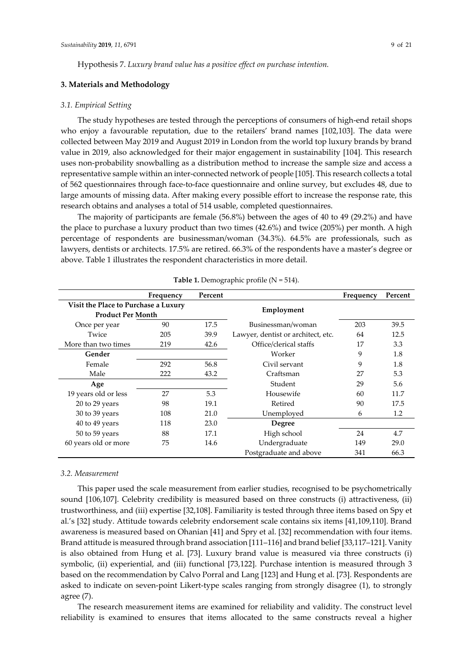Hypothesis 7. *Luxury brand value has a positive effect on purchase intention.* 

# **3. Materials and Methodology**

#### *3.1. Empirical Setting*

The study hypotheses are tested through the perceptions of consumers of high-end retail shops who enjoy a favourable reputation, due to the retailers' brand names [102,103]. The data were collected between May 2019 and August 2019 in London from the world top luxury brands by brand value in 2019, also acknowledged for their major engagement in sustainability [104]. This research uses non-probability snowballing as a distribution method to increase the sample size and access a representative sample within an inter-connected network of people [105]. This research collects a total of 562 questionnaires through face-to-face questionnaire and online survey, but excludes 48, due to large amounts of missing data. After making every possible effort to increase the response rate, this research obtains and analyses a total of 514 usable, completed questionnaires.

The majority of participants are female (56.8%) between the ages of 40 to 49 (29.2%) and have the place to purchase a luxury product than two times (42.6%) and twice (205%) per month. A high percentage of respondents are businessman/woman (34.3%). 64.5% are professionals, such as lawyers, dentists or architects. 17.5% are retired. 66.3% of the respondents have a master's degree or above. Table 1 illustrates the respondent characteristics in more detail.

|                                                                  | Frequency | Percent |                                    | Frequency | Percent |
|------------------------------------------------------------------|-----------|---------|------------------------------------|-----------|---------|
| Visit the Place to Purchase a Luxury<br><b>Product Per Month</b> |           |         | Employment                         |           |         |
| Once per year                                                    | 90        | 17.5    | Businessman/woman                  | 203       | 39.5    |
| Twice                                                            | 205       | 39.9    | Lawyer, dentist or architect, etc. | 64        | 12.5    |
| More than two times                                              | 219       | 42.6    | Office/clerical staffs             | 17        | 3.3     |
| Gender                                                           |           |         | Worker                             | 9         | 1.8     |
| Female                                                           | 292       | 56.8    | Civil servant                      | 9         | 1.8     |
| Male                                                             | 222       | 43.2    | Craftsman                          | 27        | 5.3     |
| Age                                                              |           |         | Student                            | 29        | 5.6     |
| 19 years old or less                                             | 27        | 5.3     | Housewife                          | 60        | 11.7    |
| 20 to 29 years                                                   | 98        | 19.1    | Retired                            | 90        | 17.5    |
| 30 to 39 years                                                   | 108       | 21.0    | Unemployed                         | 6         | 1.2     |
| 40 to 49 years                                                   | 118       | 23.0    | Degree                             |           |         |
| 50 to 59 years                                                   | 88        | 17.1    | High school                        | 24        | 4.7     |
| 60 years old or more                                             | 75        | 14.6    | Undergraduate                      | 149       | 29.0    |
|                                                                  |           |         | Postgraduate and above             | 341       | 66.3    |

Table 1. Demographic profile (N = 514).

## *3.2. Measurement*

This paper used the scale measurement from earlier studies, recognised to be psychometrically sound [106,107]. Celebrity credibility is measured based on three constructs (i) attractiveness, (ii) trustworthiness, and (iii) expertise [32,108]. Familiarity is tested through three items based on Spy et al.'s [32] study. Attitude towards celebrity endorsement scale contains six items [41,109,110]. Brand awareness is measured based on Ohanian [41] and Spry et al. [32] recommendation with four items. Brand attitude is measured through brand association [111–116] and brand belief [33,117–121]. Vanity is also obtained from Hung et al. [73]. Luxury brand value is measured via three constructs (i) symbolic, (ii) experiential, and (iii) functional [73,122]. Purchase intention is measured through 3 based on the recommendation by Calvo Porral and Lang [123] and Hung et al. [73]. Respondents are asked to indicate on seven-point Likert-type scales ranging from strongly disagree (1), to strongly agree (7).

The research measurement items are examined for reliability and validity. The construct level reliability is examined to ensures that items allocated to the same constructs reveal a higher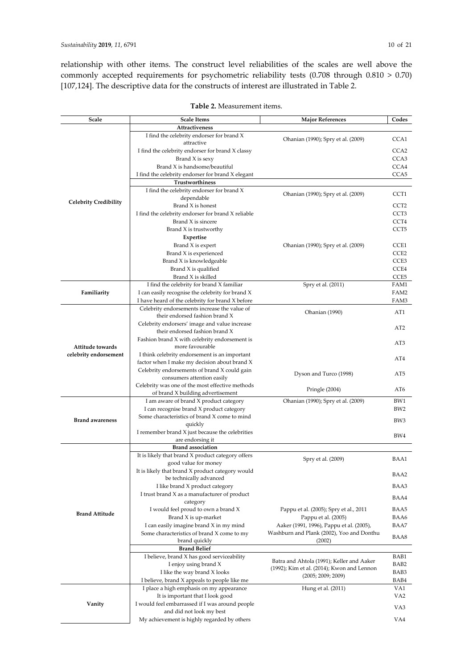relationship with other items. The construct level reliabilities of the scales are well above the commonly accepted requirements for psychometric reliability tests (0.708 through 0.810 > 0.70) [107,124]. The descriptive data for the constructs of interest are illustrated in Table 2.

| Scale                        | <b>Scale Items</b>                                 | <b>Major References</b>                    | Codes            |
|------------------------------|----------------------------------------------------|--------------------------------------------|------------------|
|                              | Attractiveness                                     |                                            |                  |
|                              | I find the celebrity endorser for brand X          |                                            |                  |
|                              | attractive                                         | Ohanian (1990); Spry et al. (2009)         | CCA1             |
|                              | I find the celebrity endorser for brand X classy   |                                            | CCA <sub>2</sub> |
|                              | Brand X is sexy                                    |                                            | CCA <sub>3</sub> |
|                              |                                                    |                                            |                  |
|                              | Brand X is handsome/beautiful                      |                                            | CCA4             |
|                              | I find the celebrity endorser for brand X elegant  |                                            | CCA <sub>5</sub> |
|                              | Trustworthiness                                    |                                            |                  |
|                              | I find the celebrity endorser for brand X          |                                            |                  |
|                              | dependable                                         | Ohanian (1990); Spry et al. (2009)         | CCT1             |
| <b>Celebrity Credibility</b> | Brand X is honest                                  |                                            | CCT <sub>2</sub> |
|                              |                                                    |                                            |                  |
|                              | I find the celebrity endorser for brand X reliable |                                            | CCT <sub>3</sub> |
|                              | Brand X is sincere                                 |                                            | CCT <sub>4</sub> |
|                              | Brand X is trustworthy                             |                                            | CCT <sub>5</sub> |
|                              | Expertise                                          |                                            |                  |
|                              | Brand X is expert                                  | Ohanian (1990); Spry et al. (2009)         | CCE1             |
|                              | Brand X is experienced                             |                                            | CCE <sub>2</sub> |
|                              |                                                    |                                            |                  |
|                              | Brand X is knowledgeable                           |                                            | CCE <sub>3</sub> |
|                              | Brand X is qualified                               |                                            | CCE4             |
|                              | Brand X is skilled                                 |                                            | CCE <sub>5</sub> |
|                              | I find the celebrity for brand X familiar          | Spry et al. (2011)                         | FAM1             |
| Familiarity                  | I can easily recognise the celebrity for brand X   |                                            | FAM2             |
|                              | I have heard of the celebrity for brand X before   |                                            | FAM3             |
|                              |                                                    |                                            |                  |
|                              | Celebrity endorsements increase the value of       | Ohanian (1990)                             | AT1              |
|                              | their endorsed fashion brand X                     |                                            |                  |
|                              | Celebrity endorsers' image and value increase      |                                            | AT <sub>2</sub>  |
|                              | their endorsed fashion brand X                     |                                            |                  |
|                              | Fashion brand X with celebrity endorsement is      |                                            |                  |
| Attitude towards             | more favourable                                    |                                            | AT <sub>3</sub>  |
| celebrity endorsement        | I think celebrity endorsement is an important      |                                            |                  |
|                              | factor when I make my decision about brand X       |                                            | AT <sub>4</sub>  |
|                              |                                                    |                                            |                  |
|                              | Celebrity endorsements of brand X could gain       | Dyson and Turco (1998)                     | AT5              |
|                              | consumers attention easily                         |                                            |                  |
|                              | Celebrity was one of the most effective methods    |                                            | AT <sub>6</sub>  |
|                              | of brand X building advertisement                  | Pringle (2004)                             |                  |
|                              | I am aware of brand X product category             | Ohanian (1990); Spry et al. (2009)         | BW1              |
|                              | I can recognise brand X product category           |                                            | BW <sub>2</sub>  |
|                              | Some characteristics of brand X come to mind       |                                            |                  |
| <b>Brand awareness</b>       |                                                    |                                            | BW <sub>3</sub>  |
|                              | quickly                                            |                                            |                  |
|                              | I remember brand X just because the celebrities    |                                            | BW <sub>4</sub>  |
|                              | are endorsing it                                   |                                            |                  |
|                              | <b>Brand association</b>                           |                                            |                  |
|                              | It is likely that brand X product category offers  |                                            |                  |
|                              | good value for money                               | Spry et al. (2009)                         | BAA1             |
|                              | It is likely that brand X product category would   |                                            |                  |
|                              | be technically advanced                            |                                            | BAA2             |
|                              |                                                    |                                            |                  |
|                              | I like brand X product category                    |                                            | BAA3             |
|                              | I trust brand X as a manufacturer of product       |                                            | BAA4             |
|                              | category                                           |                                            |                  |
|                              | I would feel proud to own a brand X                | Pappu et al. (2005); Spry et al., 2011     | BAA5             |
| <b>Brand Attitude</b>        | Brand X is up-market                               | Pappu et al. (2005)                        | BAA6             |
|                              | I can easily imagine brand X in my mind            | Aaker (1991, 1996), Pappu et al. (2005),   | BAA7             |
|                              | Some characteristics of brand X come to my         | Washburn and Plank (2002), Yoo and Donthu  |                  |
|                              |                                                    |                                            | BAA8             |
|                              | brand quickly                                      | (2002)                                     |                  |
|                              | <b>Brand Belief</b>                                |                                            |                  |
|                              | I believe, brand X has good serviceability         |                                            | BAB1             |
|                              | I enjoy using brand X                              | Batra and Ahtola (1991); Keller and Aaker  | BAB <sub>2</sub> |
|                              | I like the way brand X looks                       | (1992); Kim et al. (2014); Kwon and Lennon | BAB3             |
|                              | I believe, brand X appeals to people like me       | (2005; 2009; 2009)                         | BAB4             |
|                              |                                                    |                                            |                  |
|                              | I place a high emphasis on my appearance           | Hung et al. (2011)                         | VA1              |
|                              | It is important that I look good                   |                                            | VA2              |
| Vanity                       | I would feel embarrassed if I was around people    |                                            | VA3              |
|                              | and did not look my best                           |                                            |                  |
|                              | My achievement is highly regarded by others        |                                            | VA4              |

|  | Table 2. Measurement items. |  |
|--|-----------------------------|--|
|--|-----------------------------|--|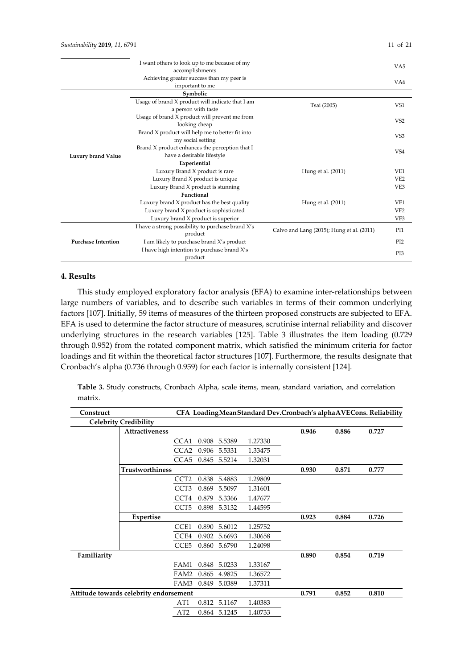|                           | I want others to look up to me because of my      |                                           | VA <sub>5</sub> |
|---------------------------|---------------------------------------------------|-------------------------------------------|-----------------|
|                           | accomplishments                                   |                                           |                 |
|                           | Achieving greater success than my peer is         |                                           | VA <sub>6</sub> |
|                           | important to me                                   |                                           |                 |
|                           | Symbolic                                          |                                           |                 |
|                           | Usage of brand X product will indicate that I am  | Tsai (2005)                               | VS1             |
|                           | a person with taste                               |                                           |                 |
|                           | Usage of brand X product will prevent me from     |                                           | VS <sub>2</sub> |
|                           | looking cheap                                     |                                           |                 |
|                           | Brand X product will help me to better fit into   |                                           | VS3             |
|                           | my social setting                                 |                                           |                 |
|                           | Brand X product enhances the perception that I    |                                           | VS <sub>4</sub> |
| <b>Luxury brand Value</b> | have a desirable lifestyle                        |                                           |                 |
|                           | Experiential                                      |                                           |                 |
|                           | Luxury Brand X product is rare                    | Hung et al. (2011)                        | VE1             |
|                           | Luxury Brand X product is unique                  |                                           | VE <sub>2</sub> |
|                           | Luxury Brand X product is stunning                |                                           | VE <sub>3</sub> |
|                           | Functional                                        |                                           |                 |
|                           | Luxury brand X product has the best quality       | Hung et al. (2011)                        | VF1             |
|                           | Luxury brand X product is sophisticated           |                                           | VF <sub>2</sub> |
|                           | Luxury brand X product is superior                |                                           | VF3             |
|                           | I have a strong possibility to purchase brand X's |                                           |                 |
|                           | product                                           | Calvo and Lang (2015); Hung et al. (2011) | PI1             |
| <b>Purchase Intention</b> | I am likely to purchase brand X's product         |                                           | PI <sub>2</sub> |
|                           |                                                   |                                           |                 |
|                           | I have high intention to purchase brand X's       |                                           | PI3             |

# **4. Results**

This study employed exploratory factor analysis (EFA) to examine inter-relationships between large numbers of variables, and to describe such variables in terms of their common underlying factors [107]. Initially, 59 items of measures of the thirteen proposed constructs are subjected to EFA. EFA is used to determine the factor structure of measures, scrutinise internal reliability and discover underlying structures in the research variables [125]. Table 3 illustrates the item loading (0.729 through 0.952) from the rotated component matrix, which satisfied the minimum criteria for factor loadings and fit within the theoretical factor structures [107]. Furthermore, the results designate that Cronbach's alpha (0.736 through 0.959) for each factor is internally consistent [124].

**Table 3.** Study constructs, Cronbach Alpha, scale items, mean, standard variation, and correlation matrix.

| Construct   |                                        |                  |       |              |         | CFA Loading Mean Standard Dev. Cronbach's alpha AVE Cons. Reliability |       |       |
|-------------|----------------------------------------|------------------|-------|--------------|---------|-----------------------------------------------------------------------|-------|-------|
|             | <b>Celebrity Credibility</b>           |                  |       |              |         |                                                                       |       |       |
|             | <b>Attractiveness</b>                  |                  |       |              |         | 0.946                                                                 | 0.886 | 0.727 |
|             |                                        | CCA <sub>1</sub> |       | 0.908 5.5389 | 1.27330 |                                                                       |       |       |
|             |                                        | CCA2             |       | 0.906 5.5331 | 1.33475 |                                                                       |       |       |
|             |                                        | CCA <sub>5</sub> |       | 0.845 5.5214 | 1.32031 |                                                                       |       |       |
|             | <b>Trustworthiness</b>                 |                  |       |              |         | 0.930                                                                 | 0.871 | 0.777 |
|             |                                        | CCT <sub>2</sub> |       | 0.838 5.4883 | 1.29809 |                                                                       |       |       |
|             |                                        | CCT <sub>3</sub> | 0.869 | 5.5097       | 1.31601 |                                                                       |       |       |
|             |                                        | CCT4             | 0.879 | 5.3366       | 1.47677 |                                                                       |       |       |
|             |                                        | CCT <sub>5</sub> |       | 0.898 5.3132 | 1.44595 |                                                                       |       |       |
|             | Expertise                              |                  |       |              |         | 0.923                                                                 | 0.884 | 0.726 |
|             |                                        | CCE1             | 0.890 | 5.6012       | 1.25752 |                                                                       |       |       |
|             |                                        | CCE4             | 0.902 | 5.6693       | 1.30658 |                                                                       |       |       |
|             |                                        | CCE <sub>5</sub> | 0.860 | 5.6790       | 1.24098 |                                                                       |       |       |
| Familiarity |                                        |                  |       |              |         | 0.890                                                                 | 0.854 | 0.719 |
|             |                                        | FAM1             |       | 0.848 5.0233 | 1.33167 |                                                                       |       |       |
|             |                                        | FAM2             | 0.865 | 4.9825       | 1.36572 |                                                                       |       |       |
|             |                                        | FAM3             | 0.849 | 5.0389       | 1.37311 |                                                                       |       |       |
|             | Attitude towards celebrity endorsement |                  |       |              |         | 0.791                                                                 | 0.852 | 0.810 |
|             |                                        | AT <sub>1</sub>  | 0.812 | 5.1167       | 1.40383 |                                                                       |       |       |
|             |                                        | AT <sub>2</sub>  |       | 0.864 5.1245 | 1.40733 |                                                                       |       |       |
|             |                                        |                  |       |              |         |                                                                       |       |       |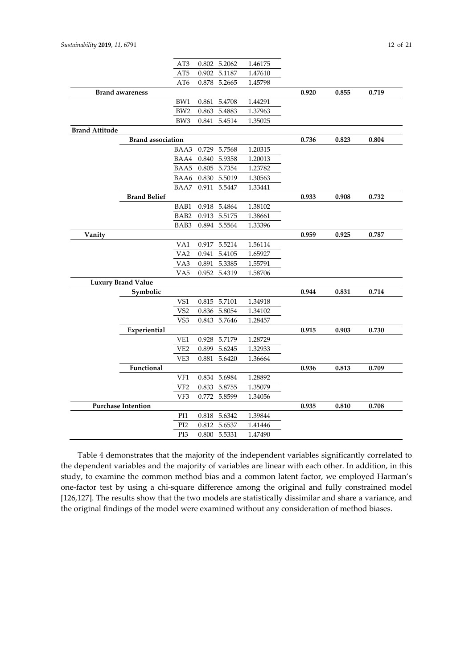|                       |                           | AT3              |       | 0.802 5.2062 | 1.46175 |       |       |       |
|-----------------------|---------------------------|------------------|-------|--------------|---------|-------|-------|-------|
|                       |                           | AT5              | 0.902 | 5.1187       | 1.47610 |       |       |       |
|                       |                           | AT6              |       | 0.878 5.2665 | 1.45798 |       |       |       |
|                       | <b>Brand awareness</b>    |                  |       |              |         | 0.920 | 0.855 | 0.719 |
|                       |                           | BW1              | 0.861 | 5.4708       | 1.44291 |       |       |       |
|                       |                           | BW <sub>2</sub>  | 0.863 | 5.4883       | 1.37963 |       |       |       |
|                       |                           | BW3              | 0.841 | 5.4514       | 1.35025 |       |       |       |
| <b>Brand Attitude</b> |                           |                  |       |              |         |       |       |       |
|                       | <b>Brand association</b>  |                  |       |              |         | 0.736 | 0.823 | 0.804 |
|                       |                           | BAA3             | 0.729 | 5.7568       | 1.20315 |       |       |       |
|                       |                           | BAA4             | 0.840 | 5.9358       | 1.20013 |       |       |       |
|                       |                           | BAA5             | 0.805 | 5.7354       | 1.23782 |       |       |       |
|                       |                           | BAA6             | 0.830 | 5.5019       | 1.30563 |       |       |       |
|                       |                           | BAA7             | 0.911 | 5.5447       | 1.33441 |       |       |       |
|                       | <b>Brand Belief</b>       |                  |       |              |         | 0.933 | 0.908 | 0.732 |
|                       |                           | BAB1             |       | 0.918 5.4864 | 1.38102 |       |       |       |
|                       |                           | BAB <sub>2</sub> |       | 0.913 5.5175 | 1.38661 |       |       |       |
|                       |                           | BAB <sub>3</sub> | 0.894 | 5.5564       | 1.33396 |       |       |       |
| Vanity                |                           |                  |       |              |         | 0.959 | 0.925 | 0.787 |
|                       |                           | VA1              | 0.917 | 5.5214       | 1.56114 |       |       |       |
|                       |                           | VA <sub>2</sub>  | 0.941 | 5.4105       | 1.65927 |       |       |       |
|                       |                           | VA3              | 0.891 | 5.3385       | 1.55791 |       |       |       |
|                       |                           | VA5              | 0.952 | 5.4319       | 1.58706 |       |       |       |
|                       | <b>Luxury Brand Value</b> |                  |       |              |         |       |       |       |
|                       | Symbolic                  |                  |       |              |         | 0.944 | 0.831 | 0.714 |
|                       |                           | VS1              | 0.815 | 5.7101       | 1.34918 |       |       |       |
|                       |                           | VS <sub>2</sub>  |       | 0.836 5.8054 | 1.34102 |       |       |       |
|                       |                           | VS3              |       | 0.843 5.7646 | 1.28457 |       |       |       |
|                       | Experiential              |                  |       |              |         | 0.915 | 0.903 | 0.730 |
|                       |                           | VE1              |       | 0.928 5.7179 | 1.28729 |       |       |       |
|                       |                           | VE2              |       | 0.899 5.6245 | 1.32933 |       |       |       |
|                       |                           | VE3              | 0.881 | 5.6420       | 1.36664 |       |       |       |
|                       | Functional                |                  |       |              |         | 0.936 | 0.813 | 0.709 |
|                       |                           | VF1              |       | 0.834 5.6984 | 1.28892 |       |       |       |
|                       |                           | VF2              | 0.833 | 5.8755       | 1.35079 |       |       |       |
|                       |                           | VF3              | 0.772 | 5.8599       | 1.34056 |       |       |       |
|                       | <b>Purchase Intention</b> |                  |       |              |         | 0.935 | 0.810 | 0.708 |
|                       |                           | PI1              |       | 0.818 5.6342 | 1.39844 |       |       |       |
|                       |                           | PI <sub>2</sub>  |       | 0.812 5.6537 | 1.41446 |       |       |       |
|                       |                           | PI3              | 0.800 | 5.5331       | 1.47490 |       |       |       |

Table 4 demonstrates that the majority of the independent variables significantly correlated to the dependent variables and the majority of variables are linear with each other. In addition, in this study, to examine the common method bias and a common latent factor, we employed Harman's one-factor test by using a chi-square difference among the original and fully constrained model [126,127]. The results show that the two models are statistically dissimilar and share a variance, and the original findings of the model were examined without any consideration of method biases.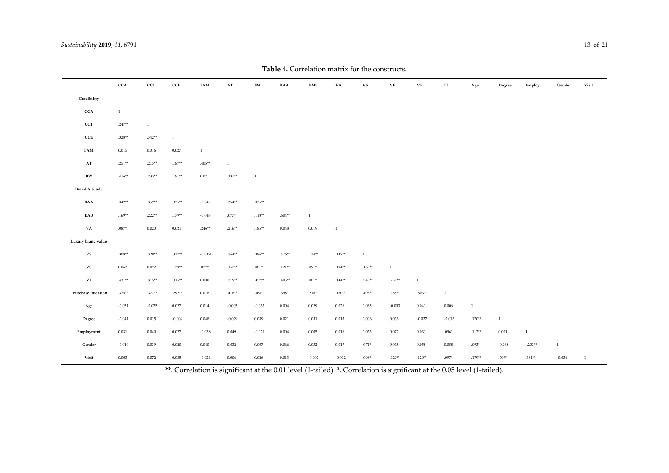|                           | CCA           | $_{\rm CCT}$ | $\ensuremath{\mathsf{CCE}}$ | FAM          | $\bf AT$     | BW          | BAA       | BAB          | $\mathbf{V}\mathbf{A}$ | <b>VS</b>    | ${\bf VE}$   | $\mathbf{VF}$ | $\mathbf{PI}$ | Age      | Degree       | Employ.   | Gender       | Visit |
|---------------------------|---------------|--------------|-----------------------------|--------------|--------------|-------------|-----------|--------------|------------------------|--------------|--------------|---------------|---------------|----------|--------------|-----------|--------------|-------|
| Credibility               |               |              |                             |              |              |             |           |              |                        |              |              |               |               |          |              |           |              |       |
| $\mathsf{CCA}$            | $\mathbf{1}$  |              |                             |              |              |             |           |              |                        |              |              |               |               |          |              |           |              |       |
| CCT                       | $.247**$      | <sup>1</sup> |                             |              |              |             |           |              |                        |              |              |               |               |          |              |           |              |       |
| CCE                       | $.328**$      | $.342**$     | $\mathbf{1}$                |              |              |             |           |              |                        |              |              |               |               |          |              |           |              |       |
| FAM                       | 0.015         | 0.016        | 0.027                       | $\mathbf{1}$ |              |             |           |              |                        |              |              |               |               |          |              |           |              |       |
| $\bf AT$                  | $.251**$      | $.215**$     | $.187***$                   | $.405**$     | $\mathbf{1}$ |             |           |              |                        |              |              |               |               |          |              |           |              |       |
| $\mathbf{BW}$             | $.416**$      | $.233**$     | $.191**$                    | 0.071        | $.331**$     | $\,$ 1 $\,$ |           |              |                        |              |              |               |               |          |              |           |              |       |
| <b>Brand Attitude</b>     |               |              |                             |              |              |             |           |              |                        |              |              |               |               |          |              |           |              |       |
| BAA                       | $.342**$      | $.359**$     | .325**                      | $-0.045$     | $.254***$    | $.335***$   | $\,1\,$   |              |                        |              |              |               |               |          |              |           |              |       |
| BAB                       | $.169**$      | $.222**$     | $.179**$                    | $-0.048$     | $.077*$      | $.118***$   | $.604**$  | $\mathbf{1}$ |                        |              |              |               |               |          |              |           |              |       |
| $\mathbf{V}\mathbf{A}$    | $.087^{\ast}$ | 0.020        | 0.021                       | $.246**$     | $.216***$    | $.185***$   | 0.048     | 0.019        | $\overline{1}$         |              |              |               |               |          |              |           |              |       |
| Luxury brand value        |               |              |                             |              |              |             |           |              |                        |              |              |               |               |          |              |           |              |       |
| $\mathbf{v}\mathbf{s}$    | $.308**$      | $.320**$     | .337**                      | $-0.019$     | $.364***$    | .386**      | $.476**$  | $.134***$    | $.147**$               | $\mathbf{1}$ |              |               |               |          |              |           |              |       |
| $\mathbf{v}\mathbf{s}$    | 0.062         | 0.072        | $.129**$                    | $.077*$      | $.157***$    | $.081*$     | $.121***$ | $.091*$      | $.194**$               | $.165***$    | $\mathbf{1}$ |               |               |          |              |           |              |       |
| $\mathbf{VF}$             | $.431**$      | $.315**$     | $.315**$                    | 0.030        | $.319**$     | $.477**$    | $.405**$  | $.081\%$     | $.144**$               | $.540**$     | $.250**$     | $\,$ 1        |               |          |              |           |              |       |
| <b>Purchase Intention</b> | $.375**$      | $.372**$     | $.292**$                    | $0.018\,$    | $.418**$     | $.368**$    | $.398**$  | $.216**$     | $.160**$               | $.496**$     | $.355**$     | $.503**$      | $\,$ 1 $\,$   |          |              |           |              |       |
| Age                       | $-0.051$      | $-0.025$     | 0.027                       | 0.014        | $-0.005$     | $-0.035$    | 0.004     | 0.029        | 0.026                  | 0.065        | $-0.003$     | 0.041         | 0.006         | 1        |              |           |              |       |
| Degree                    | $-0.041$      | 0.015        | $-0.004$                    | $\,0.048\,$  | $-0.029$     | 0.039       | 0.021     | 0.051        | 0.013                  | 0.006        | 0.033        | $-0.037$      | $-0.013$      | $.170**$ | $\mathbf{1}$ |           |              |       |
| Employment                | 0.031         | 0.040        | 0.027                       | $-0.038$     | 0.049        | $-0.021$    | 0.004     | 0.005        | 0.016                  | 0.023        | 0.072        | 0.031         | $.096*$       | $.112**$ | 0.001        | $\,1\,$   |              |       |
| Gender                    | $-0.010$      | 0.039        | 0.020                       | 0.040        | 0.032        | 0.007       | 0.066     | 0.052        | 0.017                  | $.074*$      | 0.035        | 0.058         | 0.058         | $.093*$  | $-0.068$     | $-.203**$ | $\mathbf{1}$ |       |
| Visit                     | 0.003         | 0.072        | 0.035                       | $-0.024$     | 0.006        | 0.026       | 0.013     | $-0.002$     | $-0.012$               | $.098*$      | $.120**$     | $.120**$      | $.097*$       | .179**   | .099*        | .381**    | $-0.036$     |       |

**Table 4.** Correlation matrix for the constructs.

\*\*. Correlation is significant at the 0.01 level (1-tailed). \*. Correlation is significant at the 0.05 level (1-tailed).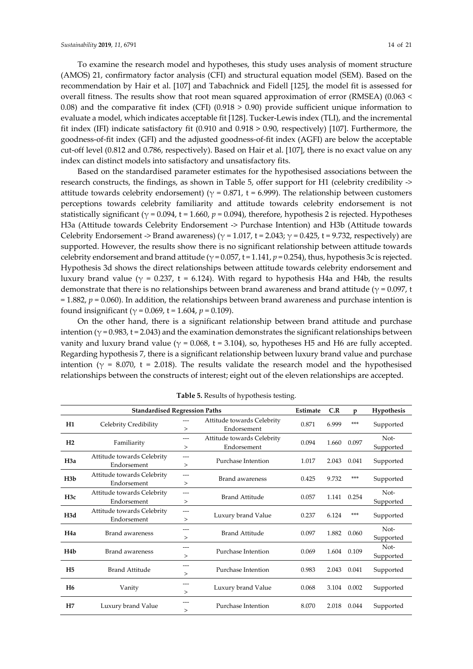To examine the research model and hypotheses, this study uses analysis of moment structure (AMOS) 21, confirmatory factor analysis (CFI) and structural equation model (SEM). Based on the recommendation by Hair et al. [107] and Tabachnick and Fidell [125], the model fit is assessed for overall fitness. The results show that root mean squared approximation of error (RMSEA) (0.063 < 0.08) and the comparative fit index (CFI)  $(0.918 > 0.90)$  provide sufficient unique information to evaluate a model, which indicates acceptable fit [128]. Tucker-Lewis index (TLI), and the incremental fit index (IFI) indicate satisfactory fit (0.910 and 0.918 > 0.90, respectively) [107]. Furthermore, the goodness-of-fit index (GFI) and the adjusted goodness-of-fit index (AGFI) are below the acceptable cut-off level (0.812 and 0.786, respectively). Based on Hair et al. [107], there is no exact value on any index can distinct models into satisfactory and unsatisfactory fits.

Based on the standardised parameter estimates for the hypothesised associations between the research constructs, the findings, as shown in Table 5, offer support for H1 (celebrity credibility -> attitude towards celebrity endorsement) ( $\gamma$  = 0.871, t = 6.999). The relationship between customers perceptions towards celebrity familiarity and attitude towards celebrity endorsement is not statistically significant ( $\gamma$  = 0.094, t = 1.660,  $p$  = 0.094), therefore, hypothesis 2 is rejected. Hypotheses H3a (Attitude towards Celebrity Endorsement -> Purchase Intention) and H3b (Attitude towards Celebrity Endorsement -> Brand awareness) ( $\gamma$  = 1.017, t = 2.043;  $\gamma$  = 0.425, t = 9.732, respectively) are supported. However, the results show there is no significant relationship between attitude towards celebrity endorsement and brand attitude (γ = 0.057, t = 1.141, *p* = 0.254), thus, hypothesis 3c is rejected. Hypothesis 3d shows the direct relationships between attitude towards celebrity endorsement and luxury brand value ( $γ = 0.237$ , t = 6.124). With regard to hypothesis H4a and H4b, the results demonstrate that there is no relationships between brand awareness and brand attitude ( $\gamma$  = 0.097, t = 1.882, *p* = 0.060). In addition, the relationships between brand awareness and purchase intention is found insignificant ( $\gamma$  = 0.069, t = 1.604, p = 0.109).

On the other hand, there is a significant relationship between brand attitude and purchase intention ( $\gamma$  = 0.983, t = 2.043) and the examination demonstrates the significant relationships between vanity and luxury brand value ( $\gamma$  = 0.068, t = 3.104), so, hypotheses H5 and H6 are fully accepted. Regarding hypothesis 7, there is a significant relationship between luxury brand value and purchase intention ( $\gamma$  = 8.070, t = 2.018). The results validate the research model and the hypothesised relationships between the constructs of interest; eight out of the eleven relationships are accepted.

|                  | <b>Standardised Regression Paths</b>      | Estimate        | C.R                                       | D     | <b>Hypothesis</b> |       |                   |
|------------------|-------------------------------------------|-----------------|-------------------------------------------|-------|-------------------|-------|-------------------|
| H1               | Celebrity Credibility                     | $---$<br>$\geq$ | Attitude towards Celebrity<br>Endorsement | 0.871 | 6.999             | ***   | Supported         |
| H <sub>2</sub>   | Familiarity                               | $---$<br>$\geq$ | Attitude towards Celebrity<br>Endorsement | 0.094 | 1.660             | 0.097 | Not-<br>Supported |
| H <sub>3</sub> a | Attitude towards Celebrity<br>Endorsement | $---$<br>$\geq$ | Purchase Intention                        | 1.017 | 2.043             | 0.041 | Supported         |
| H3b              | Attitude towards Celebrity<br>Endorsement | $---$<br>>      | <b>Brand awareness</b>                    | 0.425 | 9.732             | ***   | Supported         |
| H3c              | Attitude towards Celebrity<br>Endorsement | $---$<br>>      | Brand Attitude                            | 0.057 | 1.141             | 0.254 | Not-<br>Supported |
| H3d              | Attitude towards Celebrity<br>Endorsement | ---<br>>        | Luxury brand Value                        | 0.237 | 6.124             | ***   | Supported         |
| H <sub>4a</sub>  | Brand awareness                           | ---<br>>        | <b>Brand Attitude</b>                     | 0.097 | 1.882             | 0.060 | Not-<br>Supported |
| H4b              | Brand awareness                           | ---<br>>        | Purchase Intention                        | 0.069 | 1.604             | 0.109 | Not-<br>Supported |
| H <sub>5</sub>   | <b>Brand Attitude</b>                     | ---<br>>        | Purchase Intention                        | 0.983 | 2.043             | 0.041 | Supported         |
| H <sub>6</sub>   | Vanity                                    | ---<br>$\geq$   | Luxury brand Value                        | 0.068 | 3.104             | 0.002 | Supported         |
| H7               | Luxury brand Value                        | ---<br>>        | Purchase Intention                        | 8.070 | 2.018             | 0.044 | Supported         |

**Table 5.** Results of hypothesis testing.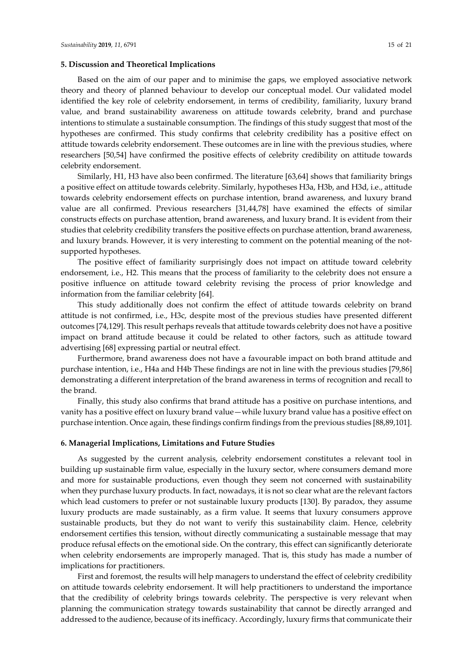## **5. Discussion and Theoretical Implications**

Based on the aim of our paper and to minimise the gaps, we employed associative network theory and theory of planned behaviour to develop our conceptual model. Our validated model identified the key role of celebrity endorsement, in terms of credibility, familiarity, luxury brand value, and brand sustainability awareness on attitude towards celebrity, brand and purchase intentions to stimulate a sustainable consumption. The findings of this study suggest that most of the hypotheses are confirmed. This study confirms that celebrity credibility has a positive effect on attitude towards celebrity endorsement. These outcomes are in line with the previous studies, where researchers [50,54] have confirmed the positive effects of celebrity credibility on attitude towards celebrity endorsement.

Similarly, H1, H3 have also been confirmed. The literature [63,64] shows that familiarity brings a positive effect on attitude towards celebrity. Similarly, hypotheses H3a, H3b, and H3d, i.e., attitude towards celebrity endorsement effects on purchase intention, brand awareness, and luxury brand value are all confirmed. Previous researchers [31,44,78] have examined the effects of similar constructs effects on purchase attention, brand awareness, and luxury brand. It is evident from their studies that celebrity credibility transfers the positive effects on purchase attention, brand awareness, and luxury brands. However, it is very interesting to comment on the potential meaning of the notsupported hypotheses.

The positive effect of familiarity surprisingly does not impact on attitude toward celebrity endorsement, i.e., H2. This means that the process of familiarity to the celebrity does not ensure a positive influence on attitude toward celebrity revising the process of prior knowledge and information from the familiar celebrity [64].

This study additionally does not confirm the effect of attitude towards celebrity on brand attitude is not confirmed, i.e., H3c, despite most of the previous studies have presented different outcomes [74,129]. This result perhaps reveals that attitude towards celebrity does not have a positive impact on brand attitude because it could be related to other factors, such as attitude toward advertising [68] expressing partial or neutral effect.

Furthermore, brand awareness does not have a favourable impact on both brand attitude and purchase intention, i.e., H4a and H4b These findings are not in line with the previous studies [79,86] demonstrating a different interpretation of the brand awareness in terms of recognition and recall to the brand.

Finally, this study also confirms that brand attitude has a positive on purchase intentions, and vanity has a positive effect on luxury brand value—while luxury brand value has a positive effect on purchase intention. Once again, these findings confirm findings from the previous studies [88,89,101].

#### **6. Managerial Implications, Limitations and Future Studies**

As suggested by the current analysis, celebrity endorsement constitutes a relevant tool in building up sustainable firm value, especially in the luxury sector, where consumers demand more and more for sustainable productions, even though they seem not concerned with sustainability when they purchase luxury products. In fact, nowadays, it is not so clear what are the relevant factors which lead customers to prefer or not sustainable luxury products [130]. By paradox, they assume luxury products are made sustainably, as a firm value. It seems that luxury consumers approve sustainable products, but they do not want to verify this sustainability claim. Hence, celebrity endorsement certifies this tension, without directly communicating a sustainable message that may produce refusal effects on the emotional side. On the contrary, this effect can significantly deteriorate when celebrity endorsements are improperly managed. That is, this study has made a number of implications for practitioners.

First and foremost, the results will help managers to understand the effect of celebrity credibility on attitude towards celebrity endorsement. It will help practitioners to understand the importance that the credibility of celebrity brings towards celebrity. The perspective is very relevant when planning the communication strategy towards sustainability that cannot be directly arranged and addressed to the audience, because of its inefficacy. Accordingly, luxury firms that communicate their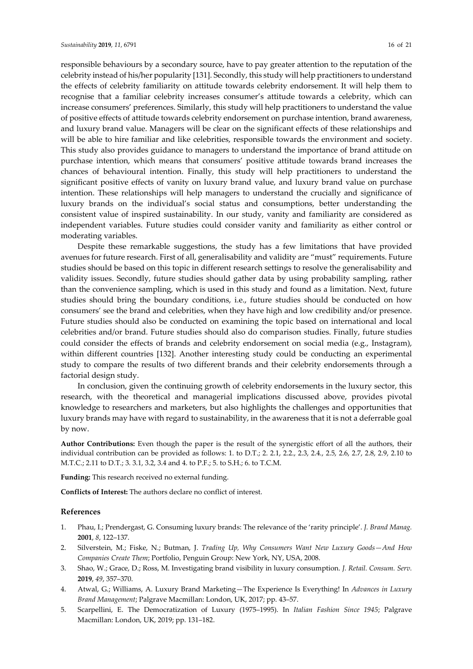responsible behaviours by a secondary source, have to pay greater attention to the reputation of the celebrity instead of his/her popularity [131]. Secondly, this study will help practitioners to understand the effects of celebrity familiarity on attitude towards celebrity endorsement. It will help them to recognise that a familiar celebrity increases consumer's attitude towards a celebrity, which can increase consumers' preferences. Similarly, this study will help practitioners to understand the value of positive effects of attitude towards celebrity endorsement on purchase intention, brand awareness, and luxury brand value. Managers will be clear on the significant effects of these relationships and will be able to hire familiar and like celebrities, responsible towards the environment and society. This study also provides guidance to managers to understand the importance of brand attitude on purchase intention, which means that consumers' positive attitude towards brand increases the chances of behavioural intention. Finally, this study will help practitioners to understand the significant positive effects of vanity on luxury brand value, and luxury brand value on purchase intention. These relationships will help managers to understand the crucially and significance of luxury brands on the individual's social status and consumptions, better understanding the consistent value of inspired sustainability. In our study, vanity and familiarity are considered as independent variables. Future studies could consider vanity and familiarity as either control or moderating variables.

Despite these remarkable suggestions, the study has a few limitations that have provided avenues for future research. First of all, generalisability and validity are "must" requirements. Future studies should be based on this topic in different research settings to resolve the generalisability and validity issues. Secondly, future studies should gather data by using probability sampling, rather than the convenience sampling, which is used in this study and found as a limitation. Next, future studies should bring the boundary conditions, i.e., future studies should be conducted on how consumers' see the brand and celebrities, when they have high and low credibility and/or presence. Future studies should also be conducted on examining the topic based on international and local celebrities and/or brand. Future studies should also do comparison studies. Finally, future studies could consider the effects of brands and celebrity endorsement on social media (e.g., Instagram), within different countries [132]. Another interesting study could be conducting an experimental study to compare the results of two different brands and their celebrity endorsements through a factorial design study.

In conclusion, given the continuing growth of celebrity endorsements in the luxury sector, this research, with the theoretical and managerial implications discussed above, provides pivotal knowledge to researchers and marketers, but also highlights the challenges and opportunities that luxury brands may have with regard to sustainability, in the awareness that it is not a deferrable goal by now.

**Author Contributions:** Even though the paper is the result of the synergistic effort of all the authors, their individual contribution can be provided as follows: 1. to D.T.; 2. 2.1, 2.2., 2.3, 2.4., 2.5, 2.6, 2.7, 2.8, 2.9, 2.10 to M.T.C.; 2.11 to D.T.; 3. 3.1, 3.2, 3.4 and 4. to P.F.; 5. to S.H.; 6. to T.C.M.

**Funding:** This research received no external funding.

**Conflicts of Interest:** The authors declare no conflict of interest.

#### **References**

- 1. Phau, I.; Prendergast, G. Consuming luxury brands: The relevance of the 'rarity principle'. *J. Brand Manag.*  **2001**, *8*, 122–137.
- 2. Silverstein, M.; Fiske, N.; Butman, J. *Trading Up, Why Consumers Want New Luxury Goods—And How Companies Create Them*; Portfolio, Penguin Group: New York, NY, USA, 2008.
- 3. Shao, W.; Grace, D.; Ross, M. Investigating brand visibility in luxury consumption. *J. Retail. Consum. Serv.* **2019**, *49*, 357–370.
- 4. Atwal, G.; Williams, A. Luxury Brand Marketing—The Experience Is Everything! In *Advances in Luxury Brand Management*; Palgrave Macmillan: London, UK, 2017; pp. 43–57.
- 5. Scarpellini, E. The Democratization of Luxury (1975–1995). In *Italian Fashion Since 1945*; Palgrave Macmillan: London, UK, 2019; pp. 131–182.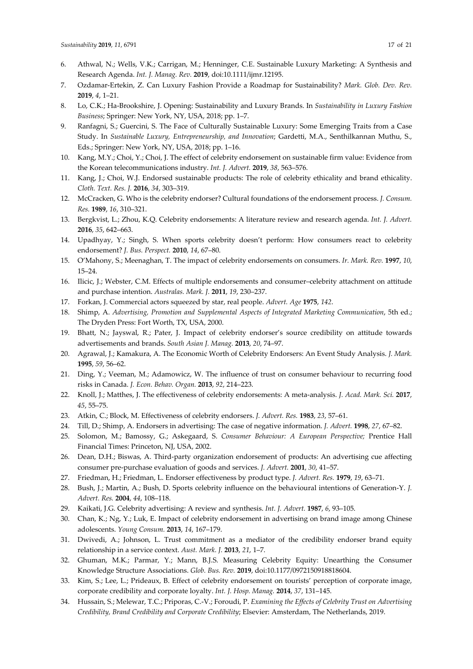- 6. Athwal, N.; Wells, V.K.; Carrigan, M.; Henninger, C.E. Sustainable Luxury Marketing: A Synthesis and Research Agenda. *Int. J. Manag. Rev.* **2019**, doi:10.1111/ijmr.12195.
- 7. Ozdamar-Ertekin, Z. Can Luxury Fashion Provide a Roadmap for Sustainability? *Mark. Glob. Dev. Rev.*  **2019**, *4*, 1–21.
- 8. Lo, C.K.; Ha-Brookshire, J. Opening: Sustainability and Luxury Brands. In *Sustainability in Luxury Fashion Business*; Springer: New York, NY, USA, 2018; pp. 1–7.
- 9. Ranfagni, S.; Guercini, S. The Face of Culturally Sustainable Luxury: Some Emerging Traits from a Case Study. In *Sustainable Luxury, Entrepreneurship, and Innovation*; Gardetti, M.A., Senthilkannan Muthu, S., Eds.; Springer: New York, NY, USA, 2018; pp. 1–16.
- 10. Kang, M.Y.; Choi, Y.; Choi, J. The effect of celebrity endorsement on sustainable firm value: Evidence from the Korean telecommunications industry. *Int. J. Advert.* **2019**, *38*, 563–576.
- 11. Kang, J.; Choi, W.J. Endorsed sustainable products: The role of celebrity ethicality and brand ethicality. *Cloth. Text. Res. J.* **2016**, *34*, 303–319.
- 12. McCracken, G. Who is the celebrity endorser? Cultural foundations of the endorsement process. *J. Consum. Res.* **1989**, *16*, 310–321.
- 13. Bergkvist, L.; Zhou, K.Q. Celebrity endorsements: A literature review and research agenda. *Int. J. Advert.* **2016**, *35*, 642–663.
- 14. Upadhyay, Y.; Singh, S. When sports celebrity doesn't perform: How consumers react to celebrity endorsement? *J. Bus. Perspect.* **2010**, *14*, 67–80.
- 15. O'Mahony, S.; Meenaghan, T. The impact of celebrity endorsements on consumers. *Ir. Mark. Rev.* **1997**, *10*, 15–24.
- 16. Ilicic, J.; Webster, C.M. Effects of multiple endorsements and consumer–celebrity attachment on attitude and purchase intention. *Australas. Mark. J.* **2011**, *19*, 230–237.
- 17. Forkan, J. Commercial actors squeezed by star, real people. *Advert. Age* **1975**, *142*.
- 18. Shimp, A. *Advertising, Promotion and Supplemental Aspects of Integrated Marketing Communication*, 5th ed.; The Dryden Press: Fort Worth, TX, USA, 2000.
- 19. Bhatt, N.; Jayswal, R.; Pater, J. Impact of celebrity endorser's source credibility on attitude towards advertisements and brands. *South Asian J. Manag.* **2013**, *20*, 74–97.
- 20. Agrawal, J.; Kamakura, A. The Economic Worth of Celebrity Endorsers: An Event Study Analysis. *J. Mark.* **1995**, *59*, 56–62.
- 21. Ding, Y.; Veeman, M.; Adamowicz, W. The influence of trust on consumer behaviour to recurring food risks in Canada. *J. Econ. Behav. Organ.* **2013**, *92*, 214–223.
- 22. Knoll, J.; Matthes, J. The effectiveness of celebrity endorsements: A meta-analysis. *J. Acad. Mark. Sci.* **2017**, *45*, 55–75.
- 23. Atkin, C.; Block, M. Effectiveness of celebrity endorsers. *J. Advert. Res.* **1983**, *23*, 57–61.
- 24. Till, D.; Shimp, A. Endorsers in advertising: The case of negative information. *J. Advert.* **1998**, *27*, 67–82.
- 25. Solomon, M.; Bamossy, G.; Askegaard, S. *Consumer Behaviour: A European Perspective;* Prentice Hall Financial Times: Princeton, NJ, USA, 2002.
- 26. Dean, D.H.; Biswas, A. Third-party organization endorsement of products: An advertising cue affecting consumer pre-purchase evaluation of goods and services. *J. Advert.* **2001**, *30*, 41–57.
- 27. Friedman, H.; Friedman, L. Endorser effectiveness by product type. *J. Advert. Res.* **1979**, *19*, 63–71.
- 28. Bush, J.; Martin, A.; Bush, D. Sports celebrity influence on the behavioural intentions of Generation-Y. *J. Advert. Res.* **2004**, *44*, 108–118.
- 29. Kaikati, J.G. Celebrity advertising: A review and synthesis. *Int. J. Advert.* **1987**, *6*, 93–105.
- 30. Chan, K.; Ng, Y.; Luk, E. Impact of celebrity endorsement in advertising on brand image among Chinese adolescents. *Young Consum.* **2013**, *14*, 167–179.
- 31. Dwivedi, A.; Johnson, L. Trust commitment as a mediator of the credibility endorser brand equity relationship in a service context. *Aust. Mark. J.* **2013**, *21*, 1–7.
- 32. Ghuman, M.K.; Parmar, Y.; Mann, B.J.S. Measuring Celebrity Equity: Unearthing the Consumer Knowledge Structure Associations. *Glob. Bus. Rev.* **2019**, doi:10.1177/0972150918818604.
- 33. Kim, S.; Lee, L.; Prideaux, B. Effect of celebrity endorsement on tourists' perception of corporate image, corporate credibility and corporate loyalty. *Int. J. Hosp. Manag.* **2014**, *37*, 131–145.
- 34. Hussain, S.; Melewar, T.C.; Priporas, C.-V.; Foroudi, P. *Examining the Effects of Celebrity Trust on Advertising Credibility, Brand Credibility and Corporate Credibility*; Elsevier: Amsterdam, The Netherlands, 2019.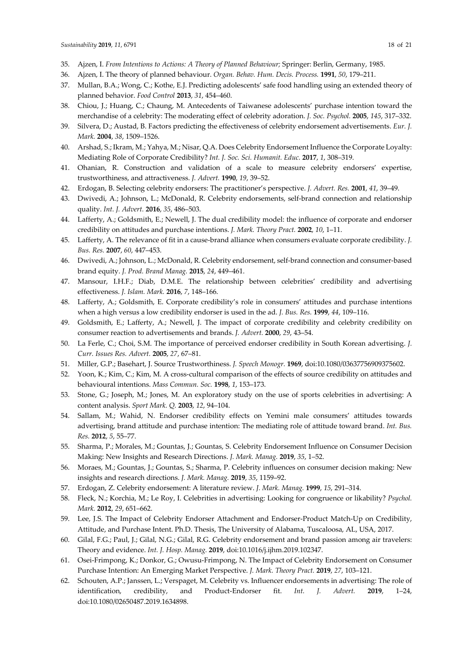- 35. Ajzen, I. *From Intentions to Actions: A Theory of Planned Behaviour;* Springer: Berlin, Germany, 1985.
- 36. Ajzen, I. The theory of planned behaviour. *Organ. Behav. Hum. Decis. Process.* **1991**, *50*, 179–211.
- 37. Mullan, B.A.; Wong, C.; Kothe, E.J. Predicting adolescents' safe food handling using an extended theory of planned behavior. *Food Control* **2013**, *31*, 454–460.
- 38. Chiou, J.; Huang, C.; Chaung, M. Antecedents of Taiwanese adolescents' purchase intention toward the merchandise of a celebrity: The moderating effect of celebrity adoration. *J. Soc. Psychol.* **2005**, *145*, 317–332.
- 39. Silvera, D.; Austad, B. Factors predicting the effectiveness of celebrity endorsement advertisements. *Eur. J. Mark.* **2004**, *38*, 1509–1526.
- 40. Arshad, S.; Ikram, M.; Yahya, M.; Nisar, Q.A. Does Celebrity Endorsement Influence the Corporate Loyalty: Mediating Role of Corporate Credibility? *Int. J. Soc. Sci. Humanit. Educ.* **2017**, *1*, 308–319.
- 41. Ohanian, R. Construction and validation of a scale to measure celebrity endorsers' expertise, trustworthiness, and attractiveness. *J. Advert.* **1990**, *19*, 39–52.
- 42. Erdogan, B. Selecting celebrity endorsers: The practitioner's perspective. *J. Advert. Res.* **2001**, *41*, 39–49.
- 43. Dwivedi, A.; Johnson, L.; McDonald, R. Celebrity endorsements, self-brand connection and relationship quality. *Int. J. Advert.* **2016**, *35*, 486–503.
- 44. Lafferty, A.; Goldsmith, E.; Newell, J. The dual credibility model: the influence of corporate and endorser credibility on attitudes and purchase intentions. *J. Mark. Theory Pract.* **2002**, *10*, 1–11.
- 45. Lafferty, A. The relevance of fit in a cause-brand alliance when consumers evaluate corporate credibility. *J. Bus. Res.* **2007**, *60*, 447–453.
- 46. Dwivedi, A.; Johnson, L.; McDonald, R. Celebrity endorsement, self-brand connection and consumer-based brand equity. *J. Prod. Brand Manag.* **2015**, *24*, 449–461.
- 47. Mansour, I.H.F.; Diab, D.M.E. The relationship between celebrities' credibility and advertising effectiveness. *J. Islam. Mark.* **2016**, *7*, 148–166.
- 48. Lafferty, A.; Goldsmith, E. Corporate credibility's role in consumers' attitudes and purchase intentions when a high versus a low credibility endorser is used in the ad. *J. Bus. Res.* **1999**, *44*, 109–116.
- 49. Goldsmith, E.; Lafferty, A.; Newell, J. The impact of corporate credibility and celebrity credibility on consumer reaction to advertisements and brands. *J. Advert.* **2000**, *29*, 43–54.
- 50. La Ferle, C.; Choi, S.M. The importance of perceived endorser credibility in South Korean advertising. *J. Curr. Issues Res. Advert.* **2005**, *27*, 67–81.
- 51. Miller, G.P.; Basehart, J. Source Trustworthiness. *J. Speech Monogr.* **1969**, doi:10.1080/03637756909375602.
- 52. Yoon, K.; Kim, C.; Kim, M. A cross-cultural comparison of the effects of source credibility on attitudes and behavioural intentions. *Mass Commun. Soc.* **1998**, *1*, 153–173.
- 53. Stone, G.; Joseph, M.; Jones, M. An exploratory study on the use of sports celebrities in advertising: A content analysis. *Sport Mark. Q.* **2003**, *12*, 94–104.
- 54. Sallam, M.; Wahid, N. Endorser credibility effects on Yemini male consumers' attitudes towards advertising, brand attitude and purchase intention: The mediating role of attitude toward brand. *Int. Bus. Res.* **2012**, *5*, 55–77.
- 55. Sharma, P.; Morales, M.; Gountas, J.; Gountas, S. Celebrity Endorsement Influence on Consumer Decision Making: New Insights and Research Directions. *J. Mark. Manag.* **2019**, *35*, 1–52.
- 56. Moraes, M.; Gountas, J.; Gountas, S.; Sharma, P. Celebrity influences on consumer decision making: New insights and research directions. *J. Mark. Manag.* **2019**, *35*, 1159–92.
- 57. Erdogan, Z. Celebrity endorsement: A literature review. *J. Mark. Manag.* **1999**, *15*, 291–314.
- 58. Fleck, N.; Korchia, M.; Le Roy, I. Celebrities in advertising: Looking for congruence or likability? *Psychol. Mark.* **2012**, *29*, 651–662.
- 59. Lee, J.S. The Impact of Celebrity Endorser Attachment and Endorser-Product Match-Up on Credibility, Attitude, and Purchase Intent. Ph.D. Thesis, The University of Alabama, Tuscaloosa, AL, USA, 2017.
- 60. Gilal, F.G.; Paul, J.; Gilal, N.G.; Gilal, R.G. Celebrity endorsement and brand passion among air travelers: Theory and evidence. *Int. J. Hosp. Manag.* **2019**, doi:10.1016/j.ijhm.2019.102347.
- 61. Osei-Frimpong, K.; Donkor, G.; Owusu-Frimpong, N. The Impact of Celebrity Endorsement on Consumer Purchase Intention: An Emerging Market Perspective. *J. Mark. Theory Pract.* **2019**, *27*, 103–121.
- 62. Schouten, A.P.; Janssen, L.; Verspaget, M. Celebrity vs. Influencer endorsements in advertising: The role of identification, credibility, and Product-Endorser fit. *Int. J. Advert.* **2019**, 1–24, doi:10.1080/02650487.2019.1634898.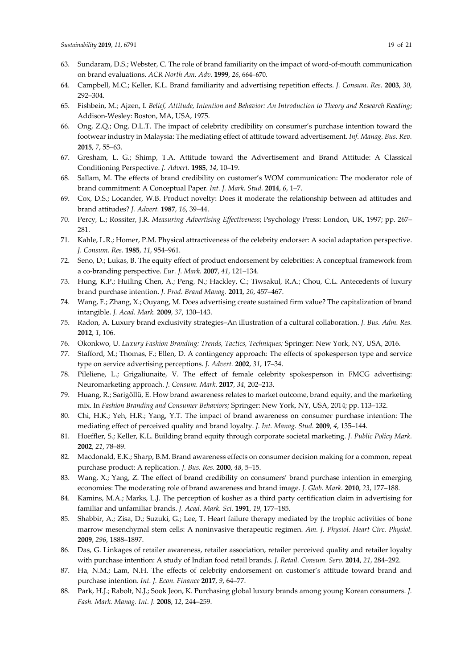- 63. Sundaram, D.S.; Webster, C. The role of brand familiarity on the impact of word-of-mouth communication on brand evaluations. *ACR North Am. Adv.* **1999**, *26*, 664–670.
- 64. Campbell, M.C.; Keller, K.L. Brand familiarity and advertising repetition effects. *J. Consum. Res.* **2003**, *30*, 292–304.
- 65. Fishbein, M.; Ajzen, I. *Belief, Attitude, Intention and Behavior: An Introduction to Theory and Research Reading*; Addison-Wesley: Boston, MA, USA, 1975.
- 66. Ong, Z.Q.; Ong, D.L.T. The impact of celebrity credibility on consumer's purchase intention toward the footwear industry in Malaysia: The mediating effect of attitude toward advertisement. *Inf. Manag. Bus. Rev.* **2015**, *7*, 55–63.
- 67. Gresham, L. G.; Shimp, T.A. Attitude toward the Advertisement and Brand Attitude: A Classical Conditioning Perspective. *J. Advert.* **1985**, *14*, 10–19.
- 68. Sallam, M. The effects of brand credibility on customer's WOM communication: The moderator role of brand commitment: A Conceptual Paper*. Int. J. Mark. Stud.* **2014**, *6*, 1–7.
- 69. Cox, D.S.; Locander, W.B. Product novelty: Does it moderate the relationship between ad attitudes and brand attitudes? *J. Advert.* **1987**, *16*, 39–44.
- 70. Percy, L.; Rossiter, J.R. *Measuring Advertising Effectiveness*; Psychology Press: London, UK, 1997; pp. 267– 281.
- 71. Kahle, L.R.; Homer, P.M. Physical attractiveness of the celebrity endorser: A social adaptation perspective. *J. Consum. Res.* **1985**, *11*, 954–961.
- 72. Seno, D.; Lukas, B. The equity effect of product endorsement by celebrities: A conceptual framework from a co-branding perspective. *Eur. J. Mark.* **2007**, *41*, 121–134.
- 73. Hung, K.P.; Huiling Chen, A.; Peng, N.; Hackley, C.; Tiwsakul, R.A.; Chou, C.L. Antecedents of luxury brand purchase intention. *J. Prod. Brand Manag.* **2011**, *20*, 457–467.
- 74. Wang, F.; Zhang, X.; Ouyang, M. Does advertising create sustained firm value? The capitalization of brand intangible. *J. Acad. Mark.* **2009**, *37*, 130–143.
- 75. Radon, A. Luxury brand exclusivity strategies–An illustration of a cultural collaboration. *J. Bus. Adm. Res.* **2012**, *1*, 106.
- 76. Okonkwo, U. *Luxury Fashion Branding: Trends, Tactics, Techniques;* Springer: New York, NY, USA, 2016.
- 77. Stafford, M.; Thomas, F.; Ellen, D. A contingency approach: The effects of spokesperson type and service type on service advertising perceptions. *J. Advert.* **2002**, *31*, 17–34.
- 78. Pileliene, L.; Grigaliunaite, V. The effect of female celebrity spokesperson in FMCG advertising: Neuromarketing approach. *J. Consum. Mark.* **2017**, *34*, 202–213.
- 79. Huang, R.; Sarigöllü, E. How brand awareness relates to market outcome, brand equity, and the marketing mix. In *Fashion Branding and Consumer Behaviors;* Springer: New York, NY, USA, 2014; pp. 113–132.
- 80. Chi, H.K.; Yeh, H.R.; Yang, Y.T. The impact of brand awareness on consumer purchase intention: The mediating effect of perceived quality and brand loyalty. *J. Int. Manag. Stud.* **2009**, *4*, 135–144.
- 81. Hoeffler, S.; Keller, K.L. Building brand equity through corporate societal marketing. *J. Public Policy Mark.* **2002**, *21*, 78–89.
- 82. Macdonald, E.K.; Sharp, B.M. Brand awareness effects on consumer decision making for a common, repeat purchase product: A replication. *J. Bus. Res.* **2000**, *48*, 5–15.
- 83. Wang, X.; Yang, Z. The effect of brand credibility on consumers' brand purchase intention in emerging economies: The moderating role of brand awareness and brand image. *J. Glob. Mark.* **2010**, *23*, 177–188.
- 84. Kamins, M.A.; Marks, L.J. The perception of kosher as a third party certification claim in advertising for familiar and unfamiliar brands. *J. Acad. Mark. Sci.* **1991**, *19*, 177–185.
- 85. Shabbir, A.; Zisa, D.; Suzuki, G.; Lee, T. Heart failure therapy mediated by the trophic activities of bone marrow mesenchymal stem cells: A noninvasive therapeutic regimen. *Am. J. Physiol. Heart Circ. Physiol.* **2009**, *296*, 1888–1897.
- 86. Das, G. Linkages of retailer awareness, retailer association, retailer perceived quality and retailer loyalty with purchase intention: A study of Indian food retail brands. *J. Retail. Consum. Serv.* **2014**, *21*, 284–292.
- 87. Ha, N.M.; Lam, N.H. The effects of celebrity endorsement on customer's attitude toward brand and purchase intention. *Int. J. Econ. Finance* **2017**, *9*, 64–77.
- 88. Park, H.J.; Rabolt, N.J.; Sook Jeon, K. Purchasing global luxury brands among young Korean consumers. *J. Fash. Mark. Manag. Int. J.* **2008**, *12*, 244–259.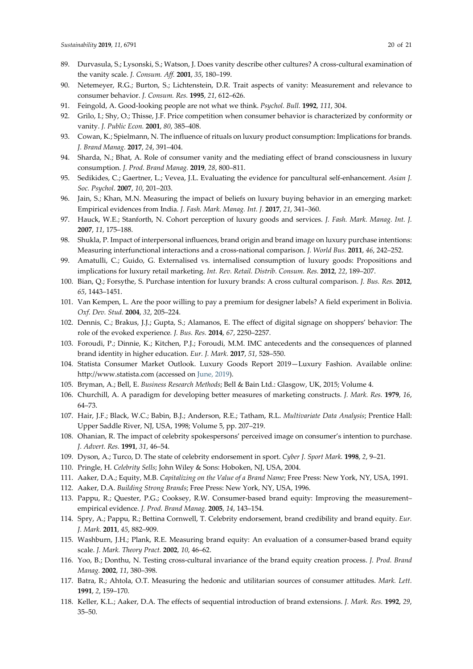- 90. Netemeyer, R.G.; Burton, S.; Lichtenstein, D.R. Trait aspects of vanity: Measurement and relevance to consumer behavior. *J. Consum. Res.* **1995**, *21*, 612–626.
- 91. Feingold, A. Good-looking people are not what we think. *Psychol. Bull.* **1992**, *111*, 304.
- 92. Grilo, I.; Shy, O.; Thisse, J.F. Price competition when consumer behavior is characterized by conformity or vanity. *J. Public Econ.* **2001**, *80*, 385–408.
- 93. Cowan, K.; Spielmann, N. The influence of rituals on luxury product consumption: Implications for brands*. J. Brand Manag.* **2017**, *24*, 391–404.
- 94. Sharda, N.; Bhat, A. Role of consumer vanity and the mediating effect of brand consciousness in luxury consumption. *J. Prod. Brand Manag.* **2019**, *28*, 800–811.
- 95. Sedikides, C.; Gaertner, L.; Vevea, J.L. Evaluating the evidence for pancultural self-enhancement. *Asian J. Soc. Psychol.* **2007**, *10*, 201–203.
- 96. Jain, S.; Khan, M.N. Measuring the impact of beliefs on luxury buying behavior in an emerging market: Empirical evidences from India. *J. Fash. Mark. Manag. Int. J.* **2017**, *21*, 341–360.
- 97. Hauck, W.E.; Stanforth, N. Cohort perception of luxury goods and services. *J. Fash. Mark. Manag. Int. J.* **2007**, *11*, 175–188.
- 98. Shukla, P. Impact of interpersonal influences, brand origin and brand image on luxury purchase intentions: Measuring interfunctional interactions and a cross-national comparison. *J. World Bus.* **2011**, *46*, 242–252.
- 99. Amatulli, C.; Guido, G. Externalised vs. internalised consumption of luxury goods: Propositions and implications for luxury retail marketing. *Int. Rev. Retail. Distrib. Consum. Res.* **2012**, *22*, 189–207.
- 100. Bian, Q.; Forsythe, S. Purchase intention for luxury brands: A cross cultural comparison. *J. Bus. Res.* **2012**, *65*, 1443–1451.
- 101. Van Kempen, L. Are the poor willing to pay a premium for designer labels? A field experiment in Bolivia. *Oxf. Dev. Stud.* **2004**, *32*, 205–224.
- 102. Dennis, C.; Brakus, J.J.; Gupta, S.; Alamanos, E. The effect of digital signage on shoppers' behavior: The role of the evoked experience*. J. Bus. Res.* **2014**, *67*, 2250–2257.
- 103. Foroudi, P.; Dinnie, K.; Kitchen, P.J.; Foroudi, M.M. IMC antecedents and the consequences of planned brand identity in higher education. *Eur. J. Mark.* **2017**, *51*, 528–550.
- 104. Statista Consumer Market Outlook. Luxury Goods Report 2019—Luxury Fashion. Available online: http://www.statista.com (accessed on June, 2019).
- 105. Bryman, A.; Bell, E. *Business Research Methods*; Bell & Bain Ltd.: Glasgow, UK, 2015; Volume 4.
- 106. Churchill, A. A paradigm for developing better measures of marketing constructs. *J. Mark. Res.* **1979**, *16*, 64–73.
- 107. Hair, J.F.; Black, W.C.; Babin, B.J.; Anderson, R.E.; Tatham, R.L. *Multivariate Data Analysis*; Prentice Hall: Upper Saddle River, NJ, USA, 1998; Volume 5, pp. 207–219.
- 108. Ohanian, R. The impact of celebrity spokespersons' perceived image on consumer's intention to purchase. *J. Advert. Res.* **1991**, *31*, 46–54.
- 109. Dyson, A.; Turco, D. The state of celebrity endorsement in sport. *Cyber J. Sport Mark.* **1998**, *2*, 9–21.
- 110. Pringle, H. *Celebrity Sells*; John Wiley & Sons: Hoboken, NJ, USA, 2004.
- 111. Aaker, D.A.; Equity, M.B. *Capitalizing on the Value of a Brand Name*; Free Press: New York, NY, USA, 1991.
- 112. Aaker, D.A. *Building Strong Brands*; Free Press: New York, NY, USA, 1996.
- 113. Pappu, R.; Quester, P.G.; Cooksey, R.W. Consumer-based brand equity: Improving the measurement– empirical evidence. *J. Prod. Brand Manag.* **2005**, *14*, 143–154.
- 114. Spry, A.; Pappu, R.; Bettina Cornwell, T. Celebrity endorsement, brand credibility and brand equity. *Eur. J. Mark.* **2011**, *45*, 882–909.
- 115. Washburn, J.H.; Plank, R.E. Measuring brand equity: An evaluation of a consumer-based brand equity scale. *J. Mark. Theory Pract.* **2002**, *10*, 46–62.
- 116. Yoo, B.; Donthu, N. Testing cross-cultural invariance of the brand equity creation process. *J. Prod. Brand Manag.* **2002**, *11*, 380–398.
- 117. Batra, R.; Ahtola, O.T. Measuring the hedonic and utilitarian sources of consumer attitudes. *Mark. Lett.* **1991**, *2*, 159–170.
- 118. Keller, K.L.; Aaker, D.A. The effects of sequential introduction of brand extensions. *J. Mark. Res.* **1992**, *29*, 35–50.